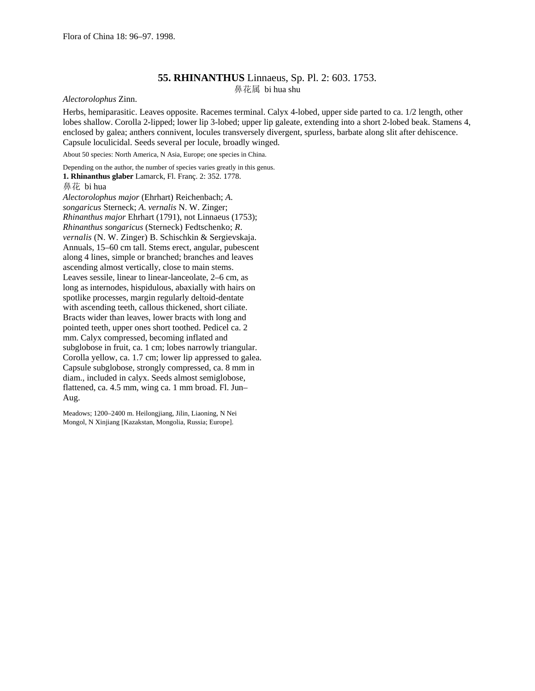## **55. RHINANTHUS** Linnaeus, Sp. Pl. 2: 603. 1753. 鼻花属 bi hua shu

*Alectorolophus* Zinn.

Herbs, hemiparasitic. Leaves opposite. Racemes terminal. Calyx 4-lobed, upper side parted to ca. 1/2 length, other lobes shallow. Corolla 2-lipped; lower lip 3-lobed; upper lip galeate, extending into a short 2-lobed beak. Stamens 4, enclosed by galea; anthers connivent, locules transversely divergent, spurless, barbate along slit after dehiscence. Capsule loculicidal. Seeds several per locule, broadly winged.

About 50 species: North America, N Asia, Europe; one species in China.

Depending on the author, the number of species varies greatly in this genus.

**1. Rhinanthus glaber** Lamarck, Fl. Franç. 2: 352. 1778.

## 鼻花 bi hua

*Alectorolophus major* (Ehrhart) Reichenbach; *A*. *songaricus* Sterneck; *A*. *vernalis* N. W. Zinger; *Rhinanthus major* Ehrhart (1791), not Linnaeus (1753); *Rhinanthus songaricus* (Sterneck) Fedtschenko; *R*. *vernalis* (N. W. Zinger) B. Schischkin & Sergievskaja. Annuals, 15–60 cm tall. Stems erect, angular, pubescent along 4 lines, simple or branched; branches and leaves ascending almost vertically, close to main stems. Leaves sessile, linear to linear-lanceolate, 2–6 cm, as long as internodes, hispidulous, abaxially with hairs on spotlike processes, margin regularly deltoid-dentate with ascending teeth, callous thickened, short ciliate. Bracts wider than leaves, lower bracts with long and pointed teeth, upper ones short toothed. Pedicel ca. 2 mm. Calyx compressed, becoming inflated and subglobose in fruit, ca. 1 cm; lobes narrowly triangular. Corolla yellow, ca. 1.7 cm; lower lip appressed to galea. Capsule subglobose, strongly compressed, ca. 8 mm in diam., included in calyx. Seeds almost semiglobose, flattened, ca. 4.5 mm, wing ca. 1 mm broad. Fl. Jun– Aug.

Meadows; 1200–2400 m. Heilongjiang, Jilin, Liaoning, N Nei Mongol, N Xinjiang [Kazakstan, Mongolia, Russia; Europe].